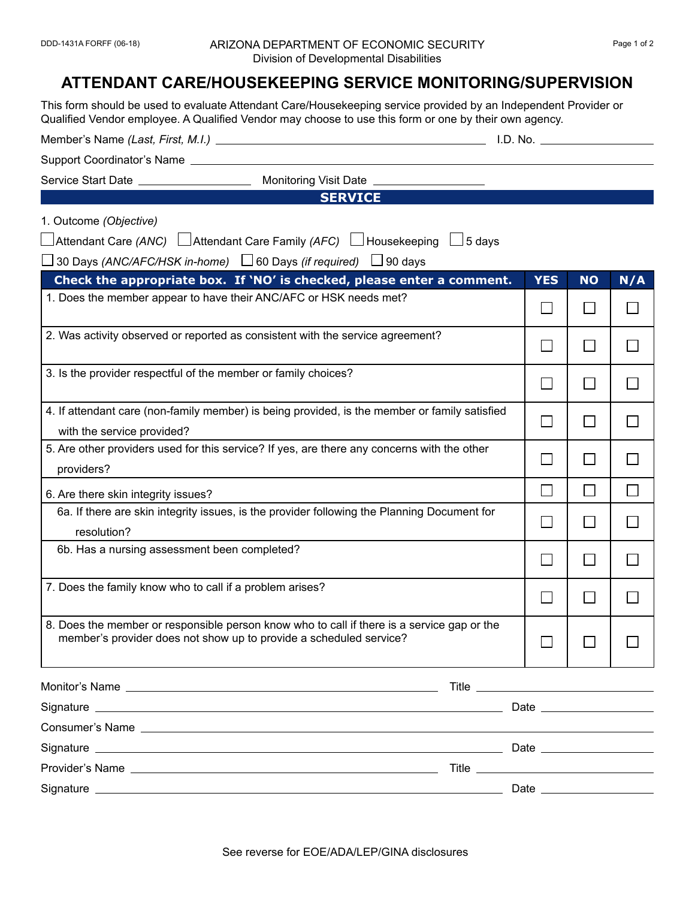## DDD-1431A FORFF (06-18) ARIZONA DEPARTMENT OF ECONOMIC SECURITY Page 1 of 2 Division of Developmental Disabilities

## **ATTENDANT CARE/HOUSEKEEPING SERVICE MONITORING/SUPERVISION**

This form should be used to evaluate Attendant Care/Housekeeping service provided by an Independent Provider or Qualified Vendor employee. A Qualified Vendor may choose to use this form or one by their own agency. Member's Name *(Last, First, M.I.)* I.D. No. Support Coordinator's Name Service Start Date \_\_\_\_\_\_\_\_\_\_\_\_\_\_\_\_\_\_\_\_\_\_\_ Monitoring Visit Date \_\_ **SERVICE** 1. Outcome *(Objective)*  $□$ Attendant Care *(ANC)*  $□$ Attendant Care Family *(AFC)*  $□$  Housekeeping  $□$  5 days  $\Box$  30 Days *(ANC/AFC/HSK in-home)*  $\Box$  60 Days *(if required)*  $\Box$  90 days **Check the appropriate box. If 'NO' is checked, please enter a comment. YES NO N/A** 1. Does the member appear to have their ANC/AFC or HSK needs met? П П П 2. Was activity observed or reported as consistent with the service agreement? П П  $\Box$ 3. Is the provider respectful of the member or family choices?  $\Box$  $\Box$ П 4. If attendant care (non-family member) is being provided, is the member or family satisfied П П П with the service provided? 5. Are other providers used for this service? If yes, are there any concerns with the other П П П providers? П П  $\Box$ 6. Are there skin integrity issues? 6a. If there are skin integrity issues, is the provider following the Planning Document for П П П resolution? 6b. Has a nursing assessment been completed? П П  $\Box$ 7. Does the family know who to call if a problem arises?  $\Box$  $\Box$  $\Box$ 8. Does the member or responsible person know who to call if there is a service gap or the member's provider does not show up to provide a scheduled service? П  $\Box$ П Monitor's Name Title Signature **Date of the Contract of Contract Contract of Contract Contract Contract Only and Contract Only and Contract Only and Contract Only and Contract Only and Contract Only and Contract Only and Contract Only and Cont** Consumer's Name Signature **Date Construction Construction Construction Date Date Date Date Date Date Date Date Date Date Date Date Date Date Date Date Date Date Date D** Provider's Name Title Signature Date